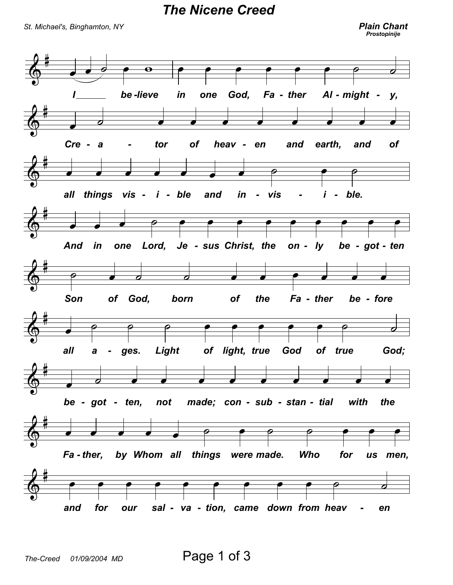**The Nicene Creed** 



Page 1 of 3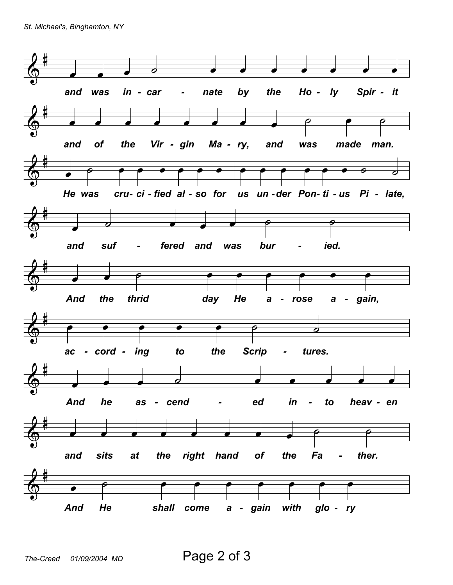